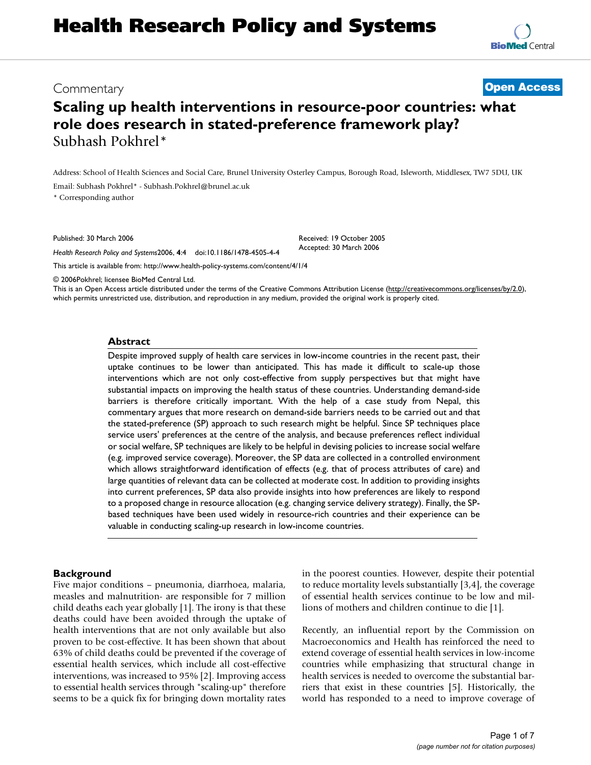# Commentary **[Open Access](http://www.biomedcentral.com/info/about/charter/)**

# **Scaling up health interventions in resource-poor countries: what role does research in stated-preference framework play?** Subhash Pokhrel\*

Address: School of Health Sciences and Social Care, Brunel University Osterley Campus, Borough Road, Isleworth, Middlesex, TW7 5DU, UK Email: Subhash Pokhrel\* - Subhash.Pokhrel@brunel.ac.uk

\* Corresponding author

Published: 30 March 2006

*Health Research Policy and Systems*2006, **4**:4 doi:10.1186/1478-4505-4-4

[This article is available from: http://www.health-policy-systems.com/content/4/1/4](http://www.health-policy-systems.com/content/4/1/4)

© 2006Pokhrel; licensee BioMed Central Ltd.

This is an Open Access article distributed under the terms of the Creative Commons Attribution License [\(http://creativecommons.org/licenses/by/2.0\)](http://creativecommons.org/licenses/by/2.0), which permits unrestricted use, distribution, and reproduction in any medium, provided the original work is properly cited.

Received: 19 October 2005 Accepted: 30 March 2006

#### **Abstract**

Despite improved supply of health care services in low-income countries in the recent past, their uptake continues to be lower than anticipated. This has made it difficult to scale-up those interventions which are not only cost-effective from supply perspectives but that might have substantial impacts on improving the health status of these countries. Understanding demand-side barriers is therefore critically important. With the help of a case study from Nepal, this commentary argues that more research on demand-side barriers needs to be carried out and that the stated-preference (SP) approach to such research might be helpful. Since SP techniques place service users' preferences at the centre of the analysis, and because preferences reflect individual or social welfare, SP techniques are likely to be helpful in devising policies to increase social welfare (e.g. improved service coverage). Moreover, the SP data are collected in a controlled environment which allows straightforward identification of effects (e.g. that of process attributes of care) and large quantities of relevant data can be collected at moderate cost. In addition to providing insights into current preferences, SP data also provide insights into how preferences are likely to respond to a proposed change in resource allocation (e.g. changing service delivery strategy). Finally, the SPbased techniques have been used widely in resource-rich countries and their experience can be valuable in conducting scaling-up research in low-income countries.

### **Background**

Five major conditions – pneumonia, diarrhoea, malaria, measles and malnutrition- are responsible for 7 million child deaths each year globally [1]. The irony is that these deaths could have been avoided through the uptake of health interventions that are not only available but also proven to be cost-effective. It has been shown that about 63% of child deaths could be prevented if the coverage of essential health services, which include all cost-effective interventions, was increased to 95% [2]. Improving access to essential health services through "scaling-up" therefore seems to be a quick fix for bringing down mortality rates in the poorest counties. However, despite their potential to reduce mortality levels substantially [3,4], the coverage of essential health services continue to be low and millions of mothers and children continue to die [1].

Recently, an influential report by the Commission on Macroeconomics and Health has reinforced the need to extend coverage of essential health services in low-income countries while emphasizing that structural change in health services is needed to overcome the substantial barriers that exist in these countries [5]. Historically, the world has responded to a need to improve coverage of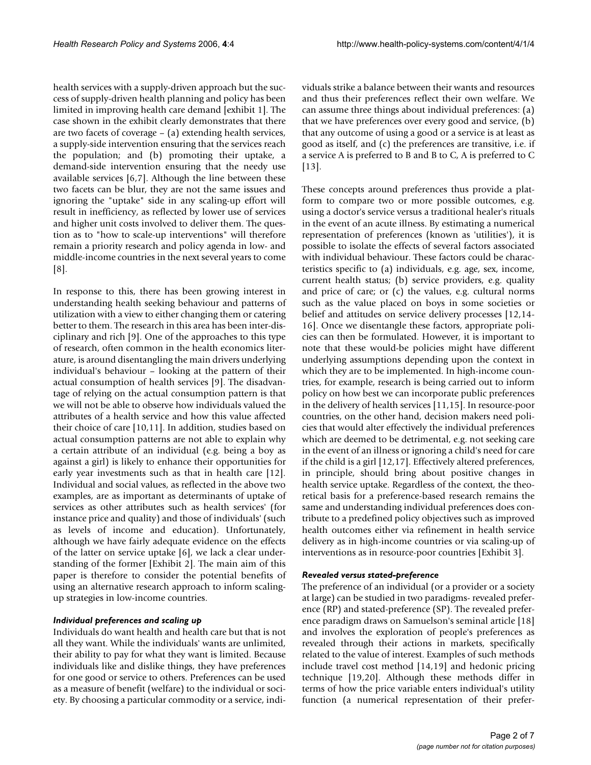health services with a supply-driven approach but the success of supply-driven health planning and policy has been limited in improving health care demand [exhibit 1]. The case shown in the exhibit clearly demonstrates that there are two facets of coverage – (a) extending health services, a supply-side intervention ensuring that the services reach the population; and (b) promoting their uptake, a demand-side intervention ensuring that the needy use available services [6,7]. Although the line between these two facets can be blur, they are not the same issues and ignoring the "uptake" side in any scaling-up effort will result in inefficiency, as reflected by lower use of services and higher unit costs involved to deliver them. The question as to "how to scale-up interventions" will therefore remain a priority research and policy agenda in low- and middle-income countries in the next several years to come [8].

In response to this, there has been growing interest in understanding health seeking behaviour and patterns of utilization with a view to either changing them or catering better to them. The research in this area has been inter-disciplinary and rich [9]. One of the approaches to this type of research, often common in the health economics literature, is around disentangling the main drivers underlying individual's behaviour – looking at the pattern of their actual consumption of health services [9]. The disadvantage of relying on the actual consumption pattern is that we will not be able to observe how individuals valued the attributes of a health service and how this value affected their choice of care [10,11]. In addition, studies based on actual consumption patterns are not able to explain why a certain attribute of an individual (e.g. being a boy as against a girl) is likely to enhance their opportunities for early year investments such as that in health care [12]. Individual and social values, as reflected in the above two examples, are as important as determinants of uptake of services as other attributes such as health services' (for instance price and quality) and those of individuals' (such as levels of income and education). Unfortunately, although we have fairly adequate evidence on the effects of the latter on service uptake [6], we lack a clear understanding of the former [Exhibit 2]. The main aim of this paper is therefore to consider the potential benefits of using an alternative research approach to inform scalingup strategies in low-income countries.

#### *Individual preferences and scaling up*

Individuals do want health and health care but that is not all they want. While the individuals' wants are unlimited, their ability to pay for what they want is limited. Because individuals like and dislike things, they have preferences for one good or service to others. Preferences can be used as a measure of benefit (welfare) to the individual or society. By choosing a particular commodity or a service, individuals strike a balance between their wants and resources and thus their preferences reflect their own welfare. We can assume three things about individual preferences: (a) that we have preferences over every good and service, (b) that any outcome of using a good or a service is at least as good as itself, and (c) the preferences are transitive, i.e. if a service A is preferred to B and B to C, A is preferred to C [13].

These concepts around preferences thus provide a platform to compare two or more possible outcomes, e.g. using a doctor's service versus a traditional healer's rituals in the event of an acute illness. By estimating a numerical representation of preferences (known as 'utilities'), it is possible to isolate the effects of several factors associated with individual behaviour. These factors could be characteristics specific to (a) individuals, e.g. age, sex, income, current health status; (b) service providers, e.g. quality and price of care; or (c) the values, e.g. cultural norms such as the value placed on boys in some societies or belief and attitudes on service delivery processes [12,14- 16]. Once we disentangle these factors, appropriate policies can then be formulated. However, it is important to note that these would-be policies might have different underlying assumptions depending upon the context in which they are to be implemented. In high-income countries, for example, research is being carried out to inform policy on how best we can incorporate public preferences in the delivery of health services [11,15]. In resource-poor countries, on the other hand, decision makers need policies that would alter effectively the individual preferences which are deemed to be detrimental, e.g. not seeking care in the event of an illness or ignoring a child's need for care if the child is a girl [12,17]. Effectively altered preferences, in principle, should bring about positive changes in health service uptake. Regardless of the context, the theoretical basis for a preference-based research remains the same and understanding individual preferences does contribute to a predefined policy objectives such as improved health outcomes either via refinement in health service delivery as in high-income countries or via scaling-up of interventions as in resource-poor countries [Exhibit 3].

### *Revealed versus stated-preference*

The preference of an individual (or a provider or a society at large) can be studied in two paradigms- revealed preference (RP) and stated-preference (SP). The revealed preference paradigm draws on Samuelson's seminal article [18] and involves the exploration of people's preferences as revealed through their actions in markets, specifically related to the value of interest. Examples of such methods include travel cost method [14,19] and hedonic pricing technique [19,20]. Although these methods differ in terms of how the price variable enters individual's utility function (a numerical representation of their prefer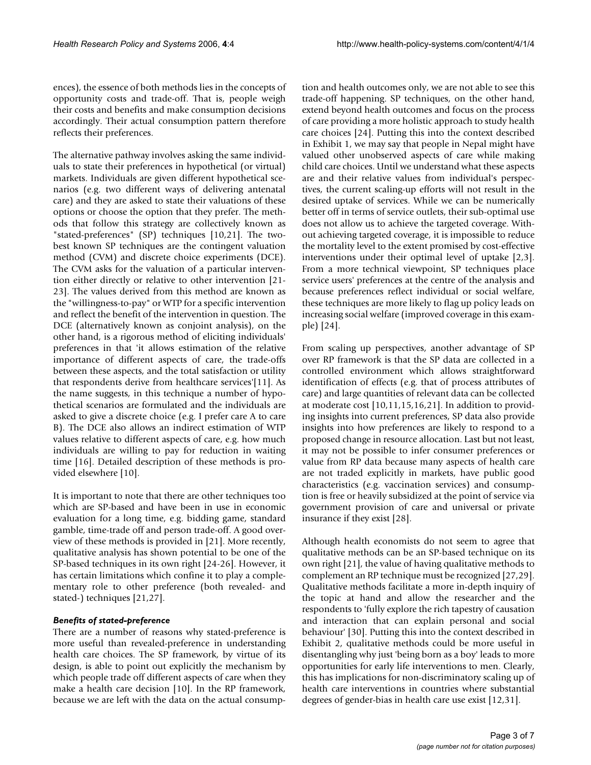ences), the essence of both methods lies in the concepts of opportunity costs and trade-off. That is, people weigh their costs and benefits and make consumption decisions accordingly. Their actual consumption pattern therefore reflects their preferences.

The alternative pathway involves asking the same individuals to state their preferences in hypothetical (or virtual) markets. Individuals are given different hypothetical scenarios (e.g. two different ways of delivering antenatal care) and they are asked to state their valuations of these options or choose the option that they prefer. The methods that follow this strategy are collectively known as "stated-preferences" (SP) techniques [10,21]. The twobest known SP techniques are the contingent valuation method (CVM) and discrete choice experiments (DCE). The CVM asks for the valuation of a particular intervention either directly or relative to other intervention [21- 23]. The values derived from this method are known as the "willingness-to-pay" or WTP for a specific intervention and reflect the benefit of the intervention in question. The DCE (alternatively known as conjoint analysis), on the other hand, is a rigorous method of eliciting individuals' preferences in that 'it allows estimation of the relative importance of different aspects of care, the trade-offs between these aspects, and the total satisfaction or utility that respondents derive from healthcare services'[11]. As the name suggests, in this technique a number of hypothetical scenarios are formulated and the individuals are asked to give a discrete choice (e.g. I prefer care A to care B). The DCE also allows an indirect estimation of WTP values relative to different aspects of care, e.g. how much individuals are willing to pay for reduction in waiting time [16]. Detailed description of these methods is provided elsewhere [10].

It is important to note that there are other techniques too which are SP-based and have been in use in economic evaluation for a long time, e.g. bidding game, standard gamble, time-trade off and person trade-off. A good overview of these methods is provided in [21]. More recently, qualitative analysis has shown potential to be one of the SP-based techniques in its own right [24-26]. However, it has certain limitations which confine it to play a complementary role to other preference (both revealed- and stated-) techniques [21,27].

#### *Benefits of stated-preference*

There are a number of reasons why stated-preference is more useful than revealed-preference in understanding health care choices. The SP framework, by virtue of its design, is able to point out explicitly the mechanism by which people trade off different aspects of care when they make a health care decision [10]. In the RP framework, because we are left with the data on the actual consumption and health outcomes only, we are not able to see this trade-off happening. SP techniques, on the other hand, extend beyond health outcomes and focus on the process of care providing a more holistic approach to study health care choices [24]. Putting this into the context described in Exhibit 1, we may say that people in Nepal might have valued other unobserved aspects of care while making child care choices. Until we understand what these aspects are and their relative values from individual's perspectives, the current scaling-up efforts will not result in the desired uptake of services. While we can be numerically better off in terms of service outlets, their sub-optimal use does not allow us to achieve the targeted coverage. Without achieving targeted coverage, it is impossible to reduce the mortality level to the extent promised by cost-effective interventions under their optimal level of uptake [2,3]. From a more technical viewpoint, SP techniques place service users' preferences at the centre of the analysis and because preferences reflect individual or social welfare, these techniques are more likely to flag up policy leads on increasing social welfare (improved coverage in this example) [24].

From scaling up perspectives, another advantage of SP over RP framework is that the SP data are collected in a controlled environment which allows straightforward identification of effects (e.g. that of process attributes of care) and large quantities of relevant data can be collected at moderate cost [10,11,15,16,21]. In addition to providing insights into current preferences, SP data also provide insights into how preferences are likely to respond to a proposed change in resource allocation. Last but not least, it may not be possible to infer consumer preferences or value from RP data because many aspects of health care are not traded explicitly in markets, have public good characteristics (e.g. vaccination services) and consumption is free or heavily subsidized at the point of service via government provision of care and universal or private insurance if they exist [28].

Although health economists do not seem to agree that qualitative methods can be an SP-based technique on its own right [21], the value of having qualitative methods to complement an RP technique must be recognized [27,29]. Qualitative methods facilitate a more in-depth inquiry of the topic at hand and allow the researcher and the respondents to 'fully explore the rich tapestry of causation and interaction that can explain personal and social behaviour' [30]. Putting this into the context described in Exhibit 2, qualitative methods could be more useful in disentangling why just 'being born as a boy' leads to more opportunities for early life interventions to men. Clearly, this has implications for non-discriminatory scaling up of health care interventions in countries where substantial degrees of gender-bias in health care use exist [12,31].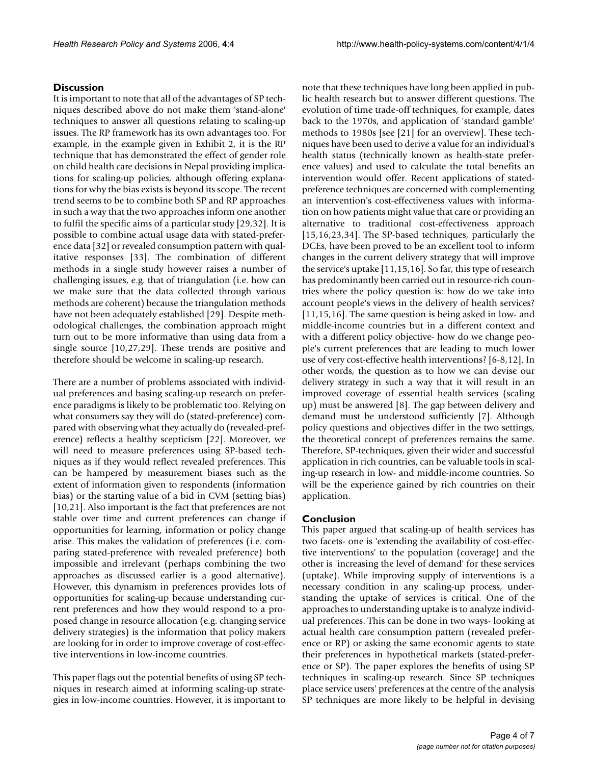# **Discussion**

It is important to note that all of the advantages of SP techniques described above do not make them 'stand-alone' techniques to answer all questions relating to scaling-up issues. The RP framework has its own advantages too. For example, in the example given in Exhibit 2, it is the RP technique that has demonstrated the effect of gender role on child health care decisions in Nepal providing implications for scaling-up policies, although offering explanations for why the bias exists is beyond its scope. The recent trend seems to be to combine both SP and RP approaches in such a way that the two approaches inform one another to fulfil the specific aims of a particular study [29,32]. It is possible to combine actual usage data with stated-preference data [32] or revealed consumption pattern with qualitative responses [33]. The combination of different methods in a single study however raises a number of challenging issues, e.g. that of triangulation (i.e. how can we make sure that the data collected through various methods are coherent) because the triangulation methods have not been adequately established [29]. Despite methodological challenges, the combination approach might turn out to be more informative than using data from a single source [10,27,29]. These trends are positive and therefore should be welcome in scaling-up research.

There are a number of problems associated with individual preferences and basing scaling-up research on preference paradigms is likely to be problematic too. Relying on what consumers say they will do (stated-preference) compared with observing what they actually do (revealed-preference) reflects a healthy scepticism [22]. Moreover, we will need to measure preferences using SP-based techniques as if they would reflect revealed preferences. This can be hampered by measurement biases such as the extent of information given to respondents (information bias) or the starting value of a bid in CVM (setting bias) [10,21]. Also important is the fact that preferences are not stable over time and current preferences can change if opportunities for learning, information or policy change arise. This makes the validation of preferences (i.e. comparing stated-preference with revealed preference) both impossible and irrelevant (perhaps combining the two approaches as discussed earlier is a good alternative). However, this dynamism in preferences provides lots of opportunities for scaling-up because understanding current preferences and how they would respond to a proposed change in resource allocation (e.g. changing service delivery strategies) is the information that policy makers are looking for in order to improve coverage of cost-effective interventions in low-income countries.

This paper flags out the potential benefits of using SP techniques in research aimed at informing scaling-up strategies in low-income countries. However, it is important to note that these techniques have long been applied in public health research but to answer different questions. The evolution of time trade-off techniques, for example, dates back to the 1970s, and application of 'standard gamble' methods to 1980s [see [21] for an overview]. These techniques have been used to derive a value for an individual's health status (technically known as health-state preference values) and used to calculate the total benefits an intervention would offer. Recent applications of statedpreference techniques are concerned with complementing an intervention's cost-effectiveness values with information on how patients might value that care or providing an alternative to traditional cost-effectiveness approach [15,16,23,34]. The SP-based techniques, particularly the DCEs, have been proved to be an excellent tool to inform changes in the current delivery strategy that will improve the service's uptake [11,15,16]. So far, this type of research has predominantly been carried out in resource-rich countries where the policy question is: how do we take into account people's views in the delivery of health services? [11,15,16]. The same question is being asked in low- and middle-income countries but in a different context and with a different policy objective- how do we change people's current preferences that are leading to much lower use of very cost-effective health interventions? [6-8,12]. In other words, the question as to how we can devise our delivery strategy in such a way that it will result in an improved coverage of essential health services (scaling up) must be answered [8]. The gap between delivery and demand must be understood sufficiently [7]. Although policy questions and objectives differ in the two settings, the theoretical concept of preferences remains the same. Therefore, SP-techniques, given their wider and successful application in rich countries, can be valuable tools in scaling-up research in low- and middle-income countries. So will be the experience gained by rich countries on their application.

# **Conclusion**

This paper argued that scaling-up of health services has two facets- one is 'extending the availability of cost-effective interventions' to the population (coverage) and the other is 'increasing the level of demand' for these services (uptake). While improving supply of interventions is a necessary condition in any scaling-up process, understanding the uptake of services is critical. One of the approaches to understanding uptake is to analyze individual preferences. This can be done in two ways- looking at actual health care consumption pattern (revealed preference or RP) or asking the same economic agents to state their preferences in hypothetical markets (stated-preference or SP). The paper explores the benefits of using SP techniques in scaling-up research. Since SP techniques place service users' preferences at the centre of the analysis SP techniques are more likely to be helpful in devising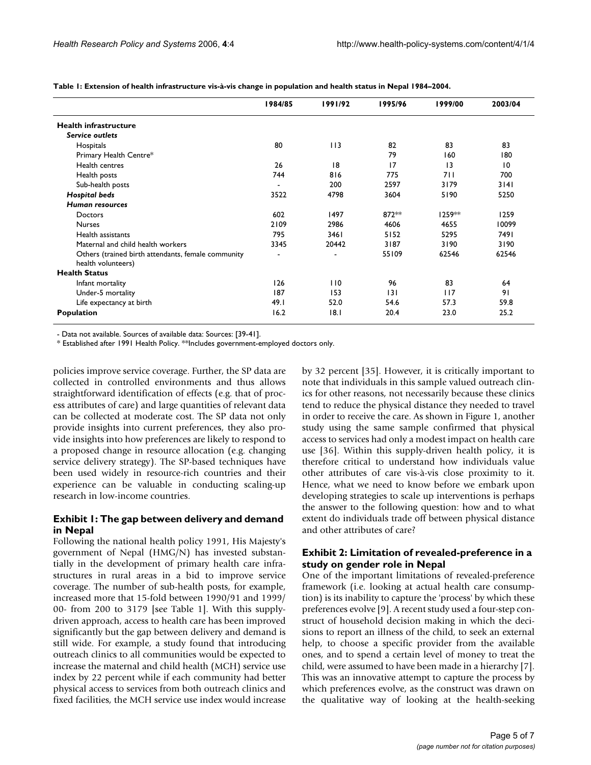|                                                                          | 1984/85        | 1991/92 | 1995/96 | 1999/00  | 2003/04         |
|--------------------------------------------------------------------------|----------------|---------|---------|----------|-----------------|
| <b>Health infrastructure</b>                                             |                |         |         |          |                 |
| <b>Service outlets</b>                                                   |                |         |         |          |                 |
| Hospitals                                                                | 80             | 113     | 82      | 83       | 83              |
| Primary Health Centre*                                                   |                |         | 79      | 160      | 180             |
| Health centres                                                           | 26             | 18      | 17      | 13       | $\overline{10}$ |
| Health posts                                                             | 744            | 816     | 775     | 711      | 700             |
| Sub-health posts                                                         | $\blacksquare$ | 200     | 2597    | 3179     | 3141            |
| <b>Hospital beds</b>                                                     | 3522           | 4798    | 3604    | 5190     | 5250            |
| <b>Human resources</b>                                                   |                |         |         |          |                 |
| Doctors                                                                  | 602            | 1497    | $872**$ | $1259**$ | 1259            |
| <b>Nurses</b>                                                            | 2109           | 2986    | 4606    | 4655     | 10099           |
| Health assistants                                                        | 795            | 3461    | 5152    | 5295     | 7491            |
| Maternal and child health workers                                        | 3345           | 20442   | 3187    | 3190     | 3190            |
| Others (trained birth attendants, female community<br>health volunteers) |                |         | 55109   | 62546    | 62546           |
| <b>Health Status</b>                                                     |                |         |         |          |                 |
| Infant mortality                                                         | 126            | 110     | 96      | 83       | 64              |
| Under-5 mortality                                                        | 187            | 153     | 3       | 117      | 91              |
| Life expectancy at birth                                                 | 49.1           | 52.0    | 54.6    | 57.3     | 59.8            |
| <b>Population</b>                                                        | 16.2           | 8.1     | 20.4    | 23.0     | 25.2            |

**Table 1: Extension of health infrastructure vis-à-vis change in population and health status in Nepal 1984–2004.**

- Data not available. Sources of available data: Sources: [39-41].

\* Established after 1991 Health Policy. \*\*Includes government-employed doctors only.

policies improve service coverage. Further, the SP data are collected in controlled environments and thus allows straightforward identification of effects (e.g. that of process attributes of care) and large quantities of relevant data can be collected at moderate cost. The SP data not only provide insights into current preferences, they also provide insights into how preferences are likely to respond to a proposed change in resource allocation (e.g. changing service delivery strategy). The SP-based techniques have been used widely in resource-rich countries and their experience can be valuable in conducting scaling-up research in low-income countries.

# **Exhibit 1: The gap between delivery and demand in Nepal**

Following the national health policy 1991, His Majesty's government of Nepal (HMG/N) has invested substantially in the development of primary health care infrastructures in rural areas in a bid to improve service coverage. The number of sub-health posts, for example, increased more that 15-fold between 1990/91 and 1999/ 00- from 200 to 3179 [see Table 1]. With this supplydriven approach, access to health care has been improved significantly but the gap between delivery and demand is still wide. For example, a study found that introducing outreach clinics to all communities would be expected to increase the maternal and child health (MCH) service use index by 22 percent while if each community had better physical access to services from both outreach clinics and fixed facilities, the MCH service use index would increase by 32 percent [35]. However, it is critically important to note that individuals in this sample valued outreach clinics for other reasons, not necessarily because these clinics tend to reduce the physical distance they needed to travel in order to receive the care. As shown in Figure 1, another study using the same sample confirmed that physical access to services had only a modest impact on health care use [36]. Within this supply-driven health policy, it is therefore critical to understand how individuals value other attributes of care vis-à-vis close proximity to it. Hence, what we need to know before we embark upon developing strategies to scale up interventions is perhaps the answer to the following question: how and to what extent do individuals trade off between physical distance and other attributes of care?

# **Exhibit 2: Limitation of revealed-preference in a study on gender role in Nepal**

One of the important limitations of revealed-preference framework (i.e. looking at actual health care consumption) is its inability to capture the 'process' by which these preferences evolve [9]. A recent study used a four-step construct of household decision making in which the decisions to report an illness of the child, to seek an external help, to choose a specific provider from the available ones, and to spend a certain level of money to treat the child, were assumed to have been made in a hierarchy [7]. This was an innovative attempt to capture the process by which preferences evolve, as the construct was drawn on the qualitative way of looking at the health-seeking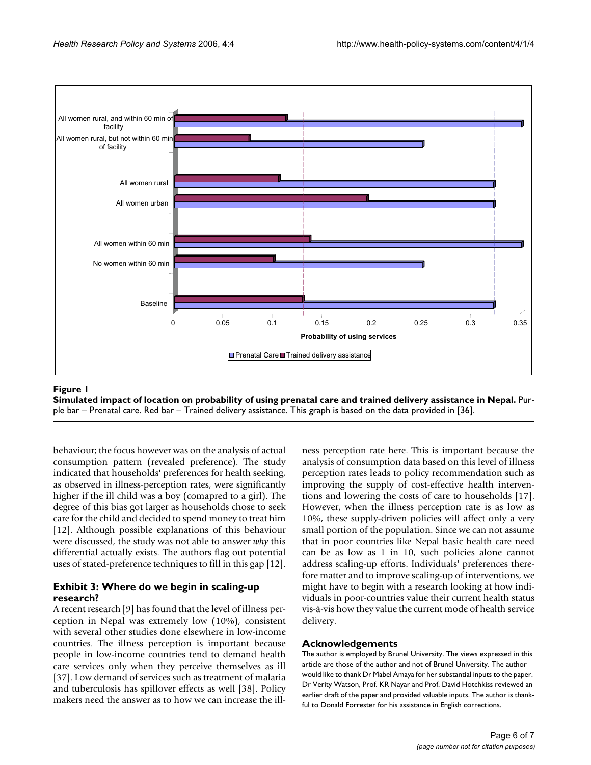

#### Simulated impact of location on probab **Figure 1** ility of using prenatal care and trained delivery assistance in Nepal **Simulated impact of location on probability of using prenatal care and trained delivery assistance in Nepal.** Purple bar – Prenatal care. Red bar – Trained delivery assistance. This graph is based on the data provided in [36].

behaviour; the focus however was on the analysis of actual consumption pattern (revealed preference). The study indicated that households' preferences for health seeking, as observed in illness-perception rates, were significantly higher if the ill child was a boy (comapred to a girl). The degree of this bias got larger as households chose to seek care for the child and decided to spend money to treat him [12]. Although possible explanations of this behaviour were discussed, the study was not able to answer *why* this differential actually exists. The authors flag out potential uses of stated-preference techniques to fill in this gap [12].

# **Exhibit 3: Where do we begin in scaling-up research?**

A recent research [9] has found that the level of illness perception in Nepal was extremely low (10%), consistent with several other studies done elsewhere in low-income countries. The illness perception is important because people in low-income countries tend to demand health care services only when they perceive themselves as ill [37]. Low demand of services such as treatment of malaria and tuberculosis has spillover effects as well [38]. Policy makers need the answer as to how we can increase the illness perception rate here. This is important because the analysis of consumption data based on this level of illness perception rates leads to policy recommendation such as improving the supply of cost-effective health interventions and lowering the costs of care to households [17]. However, when the illness perception rate is as low as 10%, these supply-driven policies will affect only a very small portion of the population. Since we can not assume that in poor countries like Nepal basic health care need can be as low as 1 in 10, such policies alone cannot address scaling-up efforts. Individuals' preferences therefore matter and to improve scaling-up of interventions, we might have to begin with a research looking at how individuals in poor-countries value their current health status vis-à-vis how they value the current mode of health service delivery.

# **Acknowledgements**

The author is employed by Brunel University. The views expressed in this article are those of the author and not of Brunel University. The author would like to thank Dr Mabel Amaya for her substantial inputs to the paper. Dr Verity Watson, Prof. KR Nayar and Prof. David Hotchkiss reviewed an earlier draft of the paper and provided valuable inputs. The author is thankful to Donald Forrester for his assistance in English corrections.